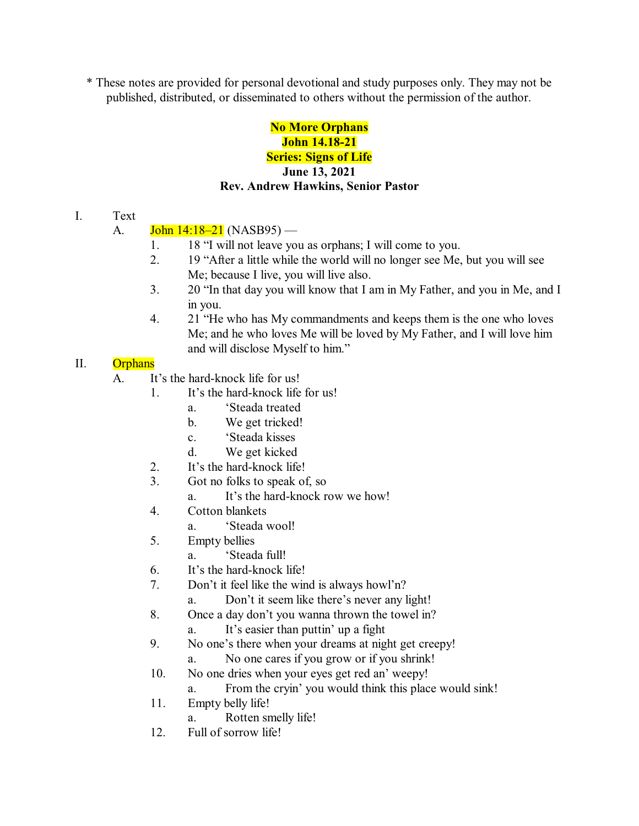\* These notes are provided for personal devotional and study purposes only. They may not be published, distributed, or disseminated to others without the permission of the author.

# **No More Orphans John 14.18-21 Series: Signs of Life June 13, 2021 Rev. Andrew Hawkins, Senior Pastor**

I. Text

## A.  $\text{John } 14:18-21 \text{ (NASB95)}$  —

- 1. 18 "I will not leave you as orphans; I will come to you.
- 2. 19 "After a little while the world will no longer see Me, but you will see Me; because I live, you will live also.
- 3. 20 "In that day you will know that I am in My Father, and you in Me, and I in you.
- 4. 21 "He who has My commandments and keeps them is the one who loves Me; and he who loves Me will be loved by My Father, and I will love him and will disclose Myself to him."

#### II. Orphans

- A. It's the hard-knock life for us!
	- 1. It's the hard-knock life for us!
		- a. 'Steada treated
		- b. We get tricked!
		- c. 'Steada kisses
		- d. We get kicked
		- 2. It's the hard-knock life!
		- 3. Got no folks to speak of, so
			- a. It's the hard-knock row we how!
		- 4. Cotton blankets
			- a. 'Steada wool!
		- 5. Empty bellies
			- a. 'Steada full!
		- 6. It's the hard-knock life!
		- 7. Don't it feel like the wind is always howl'n?
			- a. Don't it seem like there's never any light!
		- 8. Once a day don't you wanna thrown the towel in?
			- a. It's easier than puttin' up a fight
		- 9. No one's there when your dreams at night get creepy!
			- a. No one cares if you grow or if you shrink!
		- 10. No one dries when your eyes get red an' weepy!
			- a. From the cryin' you would think this place would sink!
		- 11. Empty belly life!
			- a. Rotten smelly life!
		- 12. Full of sorrow life!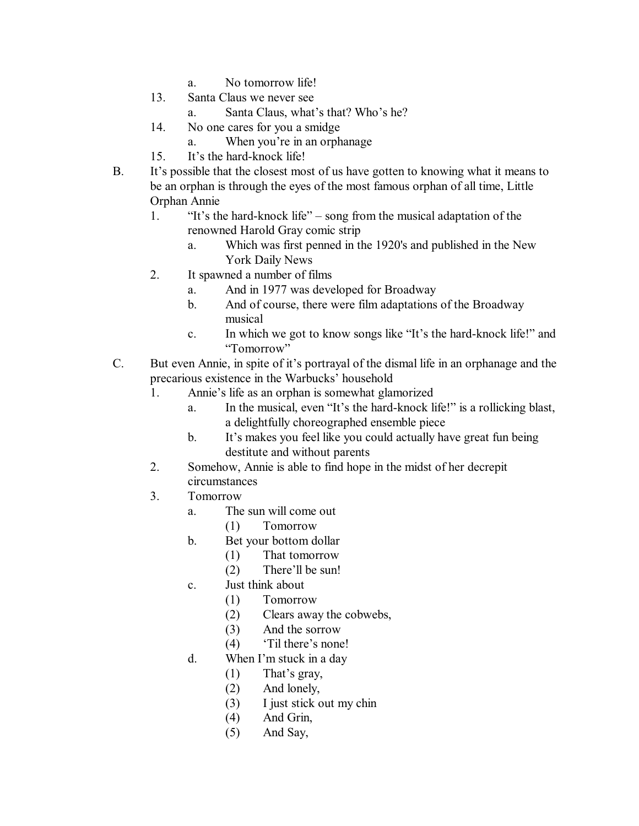- a. No tomorrow life!
- 13. Santa Claus we never see
	- a. Santa Claus, what's that? Who's he?
- 14. No one cares for you a smidge
	- a. When you're in an orphanage
- 15. It's the hard-knock life!
- B. It's possible that the closest most of us have gotten to knowing what it means to be an orphan is through the eyes of the most famous orphan of all time, Little Orphan Annie
	- 1. "It's the hard-knock life" song from the musical adaptation of the renowned Harold Gray comic strip
		- a. Which was first penned in the 1920's and published in the New York Daily News
	- 2. It spawned a number of films
		- a. And in 1977 was developed for Broadway
		- b. And of course, there were film adaptations of the Broadway musical
		- c. In which we got to know songs like "It's the hard-knock life!" and "Tomorrow"
- C. But even Annie, in spite of it's portrayal of the dismal life in an orphanage and the precarious existence in the Warbucks' household
	- 1. Annie's life as an orphan is somewhat glamorized
		- a. In the musical, even "It's the hard-knock life!" is a rollicking blast, a delightfully choreographed ensemble piece
		- b. It's makes you feel like you could actually have great fun being destitute and without parents
	- 2. Somehow, Annie is able to find hope in the midst of her decrepit circumstances
	- 3. Tomorrow
		- a. The sun will come out
			- (1) Tomorrow
		- b. Bet your bottom dollar
			- (1) That tomorrow
			- (2) There'll be sun!
		- c. Just think about
			- (1) Tomorrow
			- (2) Clears away the cobwebs,
			- (3) And the sorrow
			- (4) 'Til there's none!
		- d. When I'm stuck in a day
			- (1) That's gray,
			- (2) And lonely,
			- (3) I just stick out my chin
			- (4) And Grin,
			- (5) And Say,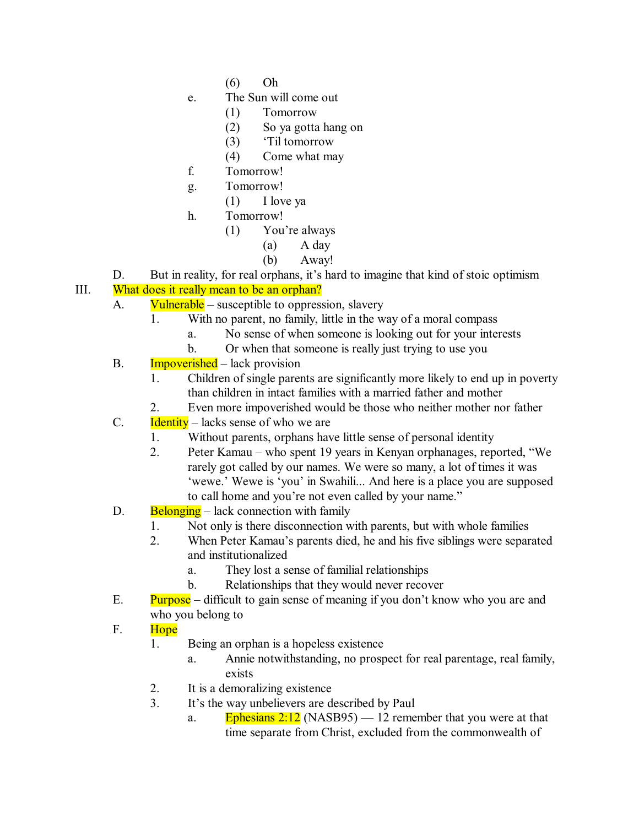- (6) Oh
- e. The Sun will come out
	- (1) Tomorrow
	- (2) So ya gotta hang on
	- (3) 'Til tomorrow
	- (4) Come what may
- f. Tomorrow!
- g. Tomorrow!
	- (1) I love ya
- h. Tomorrow!
	- (1) You're always
		- (a) A day
		- (b) Away!
- D. But in reality, for real orphans, it's hard to imagine that kind of stoic optimism

## III. What does it really mean to be an orphan?

- A. Vulnerable susceptible to oppression, slavery
	- 1. With no parent, no family, little in the way of a moral compass
		- a. No sense of when someone is looking out for your interests
		- b. Or when that someone is really just trying to use you
- B. Impoverished lack provision
	- 1. Children of single parents are significantly more likely to end up in poverty than children in intact families with a married father and mother
	- 2. Even more impoverished would be those who neither mother nor father
- C. Identity lacks sense of who we are
	- 1. Without parents, orphans have little sense of personal identity
	- 2. Peter Kamau who spent 19 years in Kenyan orphanages, reported, "We rarely got called by our names. We were so many, a lot of times it was 'wewe.' Wewe is 'you' in Swahili... And here is a place you are supposed to call home and you're not even called by your name."
- D. Belonging lack connection with family
	- 1. Not only is there disconnection with parents, but with whole families
	- 2. When Peter Kamau's parents died, he and his five siblings were separated and institutionalized
		- a. They lost a sense of familial relationships
		- b. Relationships that they would never recover
- E. Purpose difficult to gain sense of meaning if you don't know who you are and who you belong to

## F. Hope

- 1. Being an orphan is a hopeless existence
	- a. Annie notwithstanding, no prospect for real parentage, real family, exists
- 2. It is a demoralizing existence
- 3. It's the way unbelievers are described by Paul
	- a. Ephesians  $2:12$  (NASB95) 12 remember that you were at that time separate from Christ, excluded from the commonwealth of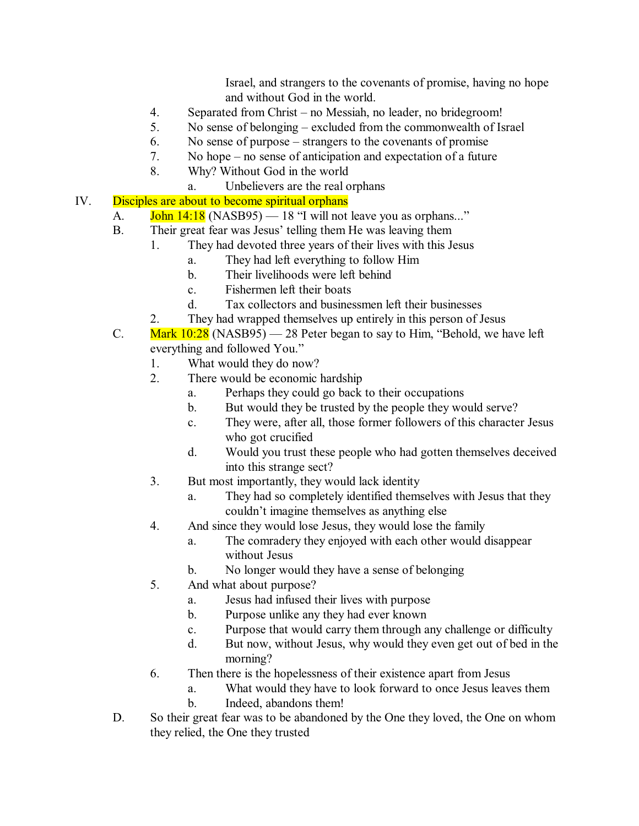Israel, and strangers to the covenants of promise, having no hope and without God in the world.

- 4. Separated from Christ no Messiah, no leader, no bridegroom!
- 5. No sense of belonging excluded from the commonwealth of Israel
- 6. No sense of purpose strangers to the covenants of promise
- 7. No hope no sense of anticipation and expectation of a future
- 8. Why? Without God in the world
	- a. Unbelievers are the real orphans
- IV. Disciples are about to become spiritual orphans
	- A.  $\boxed{\text{John } 14:18}$  (NASB95)  $-18$  "I will not leave you as orphans..."
		- B. Their great fear was Jesus' telling them He was leaving them
			- 1. They had devoted three years of their lives with this Jesus
				- a. They had left everything to follow Him
				- b. Their livelihoods were left behind
				- c. Fishermen left their boats
				- d. Tax collectors and businessmen left their businesses
			- 2. They had wrapped themselves up entirely in this person of Jesus
		- C. Mark  $10:28$  (NASB95) 28 Peter began to say to Him, "Behold, we have left everything and followed You."
			- 1. What would they do now?
			- 2. There would be economic hardship
				- a. Perhaps they could go back to their occupations
				- b. But would they be trusted by the people they would serve?
				- c. They were, after all, those former followers of this character Jesus who got crucified
				- d. Would you trust these people who had gotten themselves deceived into this strange sect?
			- 3. But most importantly, they would lack identity
				- a. They had so completely identified themselves with Jesus that they couldn't imagine themselves as anything else
			- 4. And since they would lose Jesus, they would lose the family
				- a. The comradery they enjoyed with each other would disappear without Jesus
				- b. No longer would they have a sense of belonging
			- 5. And what about purpose?
				- a. Jesus had infused their lives with purpose
				- b. Purpose unlike any they had ever known
				- c. Purpose that would carry them through any challenge or difficulty
				- d. But now, without Jesus, why would they even get out of bed in the morning?
			- 6. Then there is the hopelessness of their existence apart from Jesus
				- a. What would they have to look forward to once Jesus leaves them
				- b. Indeed, abandons them!
		- D. So their great fear was to be abandoned by the One they loved, the One on whom they relied, the One they trusted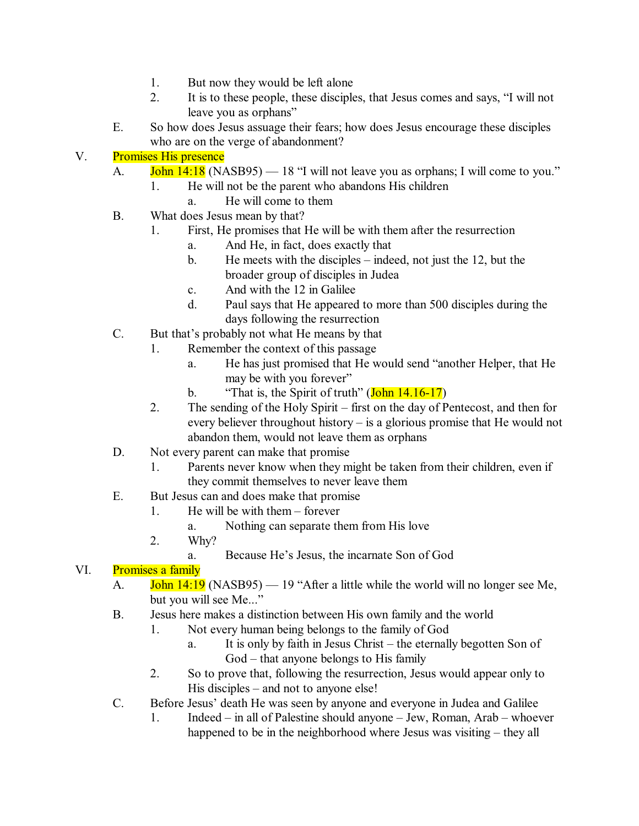- 1. But now they would be left alone
- 2. It is to these people, these disciples, that Jesus comes and says, "I will not leave you as orphans"
- E. So how does Jesus assuage their fears; how does Jesus encourage these disciples who are on the verge of abandonment?

## V. Promises His presence

- A. **John 14:18** (NASB95) 18 "I will not leave you as orphans; I will come to you."
	- 1. He will not be the parent who abandons His children
		- a. He will come to them
- B. What does Jesus mean by that?
	- 1. First, He promises that He will be with them after the resurrection
		- a. And He, in fact, does exactly that
		- b. He meets with the disciples indeed, not just the 12, but the broader group of disciples in Judea
		- c. And with the 12 in Galilee
		- d. Paul says that He appeared to more than 500 disciples during the days following the resurrection
- C. But that's probably not what He means by that
	- 1. Remember the context of this passage
		- a. He has just promised that He would send "another Helper, that He may be with you forever"
		- b. "That is, the Spirit of truth"  $(John 14.16-17)$
	- 2. The sending of the Holy Spirit first on the day of Pentecost, and then for every believer throughout history – is a glorious promise that He would not abandon them, would not leave them as orphans
- D. Not every parent can make that promise
	- 1. Parents never know when they might be taken from their children, even if they commit themselves to never leave them
- E. But Jesus can and does make that promise
	- 1. He will be with them forever
		- a. Nothing can separate them from His love
	- 2. Why?
		- a. Because He's Jesus, the incarnate Son of God

## VI. Promises a family

- A. **John 14:19** (NASB95) 19 "After a little while the world will no longer see Me, but you will see Me..."
- B. Jesus here makes a distinction between His own family and the world
	- 1. Not every human being belongs to the family of God
		- a. It is only by faith in Jesus Christ the eternally begotten Son of God – that anyone belongs to His family
		- 2. So to prove that, following the resurrection, Jesus would appear only to His disciples – and not to anyone else!
- C. Before Jesus' death He was seen by anyone and everyone in Judea and Galilee
	- 1. Indeed in all of Palestine should anyone Jew, Roman, Arab whoever happened to be in the neighborhood where Jesus was visiting – they all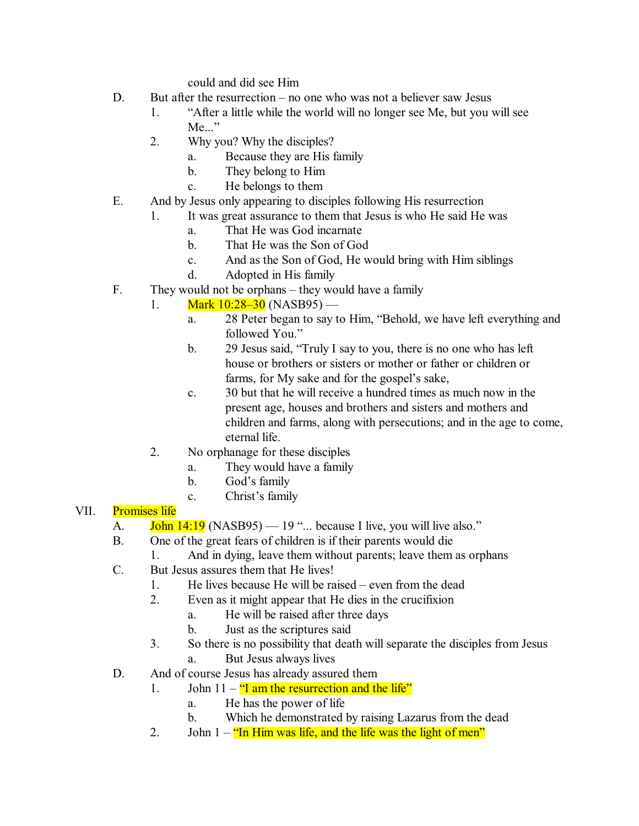could and did see Him

- D. But after the resurrection no one who was not a believer saw Jesus
	- 1. "After a little while the world will no longer see Me, but you will see Me..."
	- 2. Why you? Why the disciples?
		- a. Because they are His family
		- b. They belong to Him
		- c. He belongs to them
- E. And by Jesus only appearing to disciples following His resurrection
	- 1. It was great assurance to them that Jesus is who He said He was
		- a. That He was God incarnate
		- b. That He was the Son of God
		- c. And as the Son of God, He would bring with Him siblings
		- d. Adopted in His family
- F. They would not be orphans they would have a family
	- 1. Mark  $10:28-30$  (NASB95)
		- a. 28 Peter began to say to Him, "Behold, we have left everything and followed You."
		- b. 29 Jesus said, "Truly I say to you, there is no one who has left house or brothers or sisters or mother or father or children or farms, for My sake and for the gospel's sake,
		- c. 30 but that he will receive a hundred times as much now in the present age, houses and brothers and sisters and mothers and children and farms, along with persecutions; and in the age to come, eternal life.
	- 2. No orphanage for these disciples
		- a. They would have a family
		- b. God's family
		- c. Christ's family

#### VII. Promises life

- A.  $\frac{\text{John }14:19}{\text{NASB95}} 19 \ldots$  because I live, you will live also."
- B. One of the great fears of children is if their parents would die
	- 1. And in dying, leave them without parents; leave them as orphans
- C. But Jesus assures them that He lives!
	- 1. He lives because He will be raised even from the dead
	- 2. Even as it might appear that He dies in the crucifixion
		- a. He will be raised after three days
			- b. Just as the scriptures said
	- 3. So there is no possibility that death will separate the disciples from Jesus
		- a. But Jesus always lives
- D. And of course Jesus has already assured them
	- 1. John  $11 -$  "I am the resurrection and the life"
		- a. He has the power of life
		- b. Which he demonstrated by raising Lazarus from the dead
	- 2. John  $1 \frac{m}{n}$  Him was life, and the life was the light of men"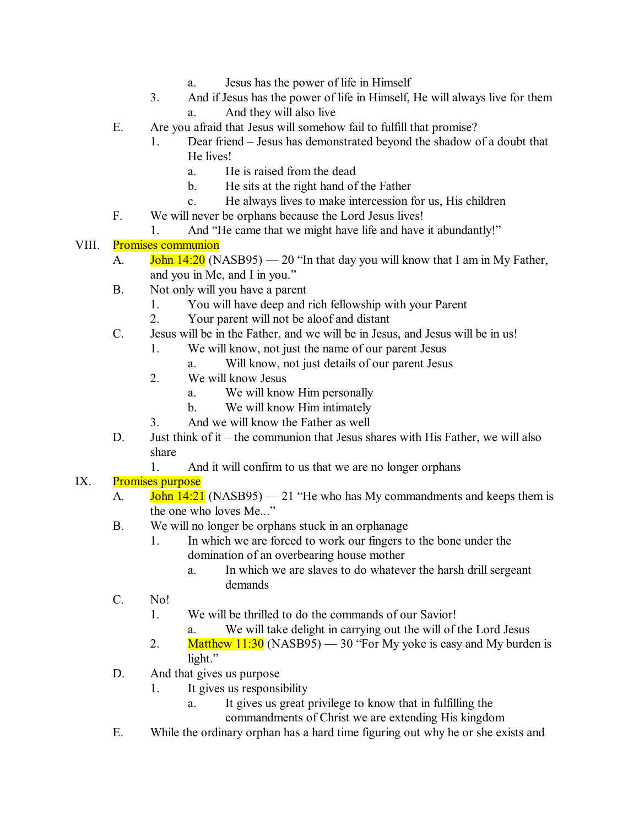- a. Jesus has the power of life in Himself
- 3. And if Jesus has the power of life in Himself, He will always live for them a. And they will also live
- E. Are you afraid that Jesus will somehow fail to fulfill that promise?
	- 1. Dear friend Jesus has demonstrated beyond the shadow of a doubt that He lives!
		- a. He is raised from the dead
		- b. He sits at the right hand of the Father
		- c. He always lives to make intercession for us, His children
- F. We will never be orphans because the Lord Jesus lives!
	- 1. And "He came that we might have life and have it abundantly!"

#### VIII. Promises communion

- A. **John 14:20** (NASB95) 20 "In that day you will know that I am in My Father, and you in Me, and I in you."
- B. Not only will you have a parent
	- 1. You will have deep and rich fellowship with your Parent
	- 2. Your parent will not be aloof and distant
- C. Jesus will be in the Father, and we will be in Jesus, and Jesus will be in us!
	- 1. We will know, not just the name of our parent Jesus
		- a. Will know, not just details of our parent Jesus
	- 2. We will know Jesus
		- a. We will know Him personally
		- b. We will know Him intimately
	- 3. And we will know the Father as well
- D. Just think of it the communion that Jesus shares with His Father, we will also share
	- 1. And it will confirm to us that we are no longer orphans

## IX. Promises purpose

- A.  $\frac{\text{John }14:21}{\text{NASB95}} 21$  "He who has My commandments and keeps them is the one who loves Me..."
- B. We will no longer be orphans stuck in an orphanage
	- 1. In which we are forced to work our fingers to the bone under the domination of an overbearing house mother
		- a. In which we are slaves to do whatever the harsh drill sergeant demands
- C. No!
	- 1. We will be thrilled to do the commands of our Savior!
		- a. We will take delight in carrying out the will of the Lord Jesus
	- 2. Matthew  $11:30$  (NASB95) 30 "For My yoke is easy and My burden is light."
- D. And that gives us purpose
	- 1. It gives us responsibility
		- a. It gives us great privilege to know that in fulfilling the
			- commandments of Christ we are extending His kingdom
- E. While the ordinary orphan has a hard time figuring out why he or she exists and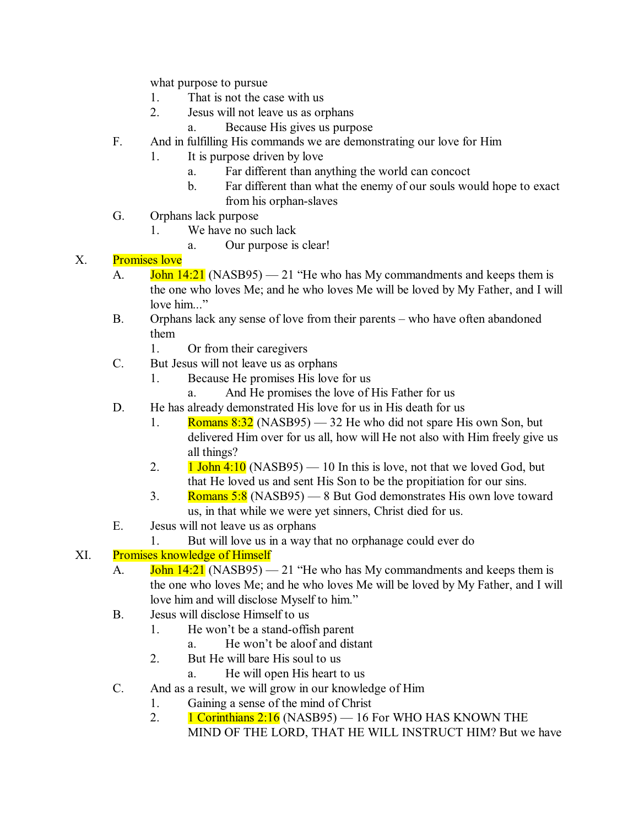what purpose to pursue

- 1. That is not the case with us
- 2. Jesus will not leave us as orphans
	- a. Because His gives us purpose
- F. And in fulfilling His commands we are demonstrating our love for Him
	- 1. It is purpose driven by love
		- a. Far different than anything the world can concoct
		- b. Far different than what the enemy of our souls would hope to exact from his orphan-slaves
- G. Orphans lack purpose
	- 1. We have no such lack
		- a. Our purpose is clear!

#### X. Promises love

- A.  $\overline{John}$  14:21 (NASB95) 21 "He who has My commandments and keeps them is the one who loves Me; and he who loves Me will be loved by My Father, and I will love him..."
- B. Orphans lack any sense of love from their parents who have often abandoned them
	- 1. Or from their caregivers
- C. But Jesus will not leave us as orphans
	- 1. Because He promises His love for us
		- a. And He promises the love of His Father for us
- D. He has already demonstrated His love for us in His death for us
	- 1. Romans  $8:32$  (NASB95) 32 He who did not spare His own Son, but delivered Him over for us all, how will He not also with Him freely give us all things?
	- 2.  $1$  John 4:10 (NASB95) 10 In this is love, not that we loved God, but that He loved us and sent His Son to be the propitiation for our sins.
	- 3. Romans 5:8 (NASB95) 8 But God demonstrates His own love toward us, in that while we were yet sinners, Christ died for us.
- E. Jesus will not leave us as orphans
	- 1. But will love us in a way that no orphanage could ever do

## XI. Promises knowledge of Himself

- A. **John 14:21** (NASB95) 21 "He who has My commandments and keeps them is the one who loves Me; and he who loves Me will be loved by My Father, and I will love him and will disclose Myself to him."
- B. Jesus will disclose Himself to us
	- 1. He won't be a stand-offish parent
		- a. He won't be aloof and distant
	- 2. But He will bare His soul to us
		- a. He will open His heart to us
- C. And as a result, we will grow in our knowledge of Him
	- 1. Gaining a sense of the mind of Christ
	- 2. 1 Corinthians  $2:16$  (NASB95) 16 For WHO HAS KNOWN THE MIND OF THE LORD, THAT HE WILL INSTRUCT HIM? But we have